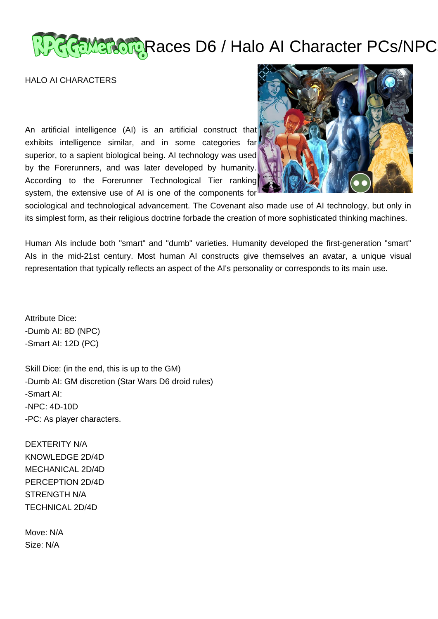# RRaMarcup Races D6 / Halo AI Character PCs/NPC

HALO AI CHARACTERS

An artificial intelligence (AI) is an artificial construct that exhibits intelligence similar, and in some categories far superior, to a sapient biological being. AI technology was used by the Forerunners, and was later developed by humanity. According to the Forerunner Technological Tier ranking system, the extensive use of AI is one of the components for



sociological and technological advancement. The Covenant also made use of AI technology, but only in its simplest form, as their religious doctrine forbade the creation of more sophisticated thinking machines.

Human AIs include both "smart" and "dumb" varieties. Humanity developed the first-generation "smart" AIs in the mid-21st century. Most human AI constructs give themselves an avatar, a unique visual representation that typically reflects an aspect of the AI's personality or corresponds to its main use.

Attribute Dice: -Dumb AI: 8D (NPC) -Smart AI: 12D (PC)

Skill Dice: (in the end, this is up to the GM) -Dumb AI: GM discretion (Star Wars D6 droid rules) -Smart AI: -NPC: 4D-10D -PC: As player characters.

DEXTERITY N/A KNOWLEDGE 2D/4D MECHANICAL 2D/4D PERCEPTION 2D/4D STRENGTH N/A TECHNICAL 2D/4D

Move: N/A Size: N/A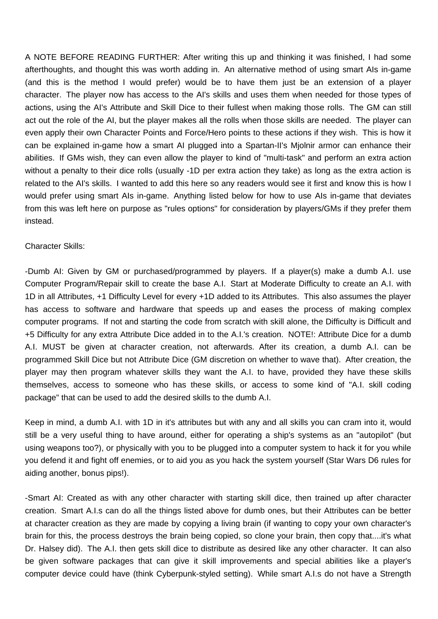A NOTE BEFORE READING FURTHER: After writing this up and thinking it was finished, I had some afterthoughts, and thought this was worth adding in. An alternative method of using smart AIs in-game (and this is the method I would prefer) would be to have them just be an extension of a player character. The player now has access to the AI's skills and uses them when needed for those types of actions, using the AI's Attribute and Skill Dice to their fullest when making those rolls. The GM can still act out the role of the AI, but the player makes all the rolls when those skills are needed. The player can even apply their own Character Points and Force/Hero points to these actions if they wish. This is how it can be explained in-game how a smart AI plugged into a Spartan-II's Mjolnir armor can enhance their abilities. If GMs wish, they can even allow the player to kind of "multi-task" and perform an extra action without a penalty to their dice rolls (usually -1D per extra action they take) as long as the extra action is related to the AI's skills. I wanted to add this here so any readers would see it first and know this is how I would prefer using smart AIs in-game. Anything listed below for how to use AIs in-game that deviates from this was left here on purpose as "rules options" for consideration by players/GMs if they prefer them instead.

## Character Skills:

-Dumb AI: Given by GM or purchased/programmed by players. If a player(s) make a dumb A.I. use Computer Program/Repair skill to create the base A.I. Start at Moderate Difficulty to create an A.I. with 1D in all Attributes, +1 Difficulty Level for every +1D added to its Attributes. This also assumes the player has access to software and hardware that speeds up and eases the process of making complex computer programs. If not and starting the code from scratch with skill alone, the Difficulty is Difficult and +5 Difficulty for any extra Attribute Dice added in to the A.I.'s creation. NOTE!: Attribute Dice for a dumb A.I. MUST be given at character creation, not afterwards. After its creation, a dumb A.I. can be programmed Skill Dice but not Attribute Dice (GM discretion on whether to wave that). After creation, the player may then program whatever skills they want the A.I. to have, provided they have these skills themselves, access to someone who has these skills, or access to some kind of "A.I. skill coding package" that can be used to add the desired skills to the dumb A.I.

Keep in mind, a dumb A.I. with 1D in it's attributes but with any and all skills you can cram into it, would still be a very useful thing to have around, either for operating a ship's systems as an "autopilot" (but using weapons too?), or physically with you to be plugged into a computer system to hack it for you while you defend it and fight off enemies, or to aid you as you hack the system yourself (Star Wars D6 rules for aiding another, bonus pips!).

-Smart AI: Created as with any other character with starting skill dice, then trained up after character creation. Smart A.I.s can do all the things listed above for dumb ones, but their Attributes can be better at character creation as they are made by copying a living brain (if wanting to copy your own character's brain for this, the process destroys the brain being copied, so clone your brain, then copy that....it's what Dr. Halsey did). The A.I. then gets skill dice to distribute as desired like any other character. It can also be given software packages that can give it skill improvements and special abilities like a player's computer device could have (think Cyberpunk-styled setting). While smart A.I.s do not have a Strength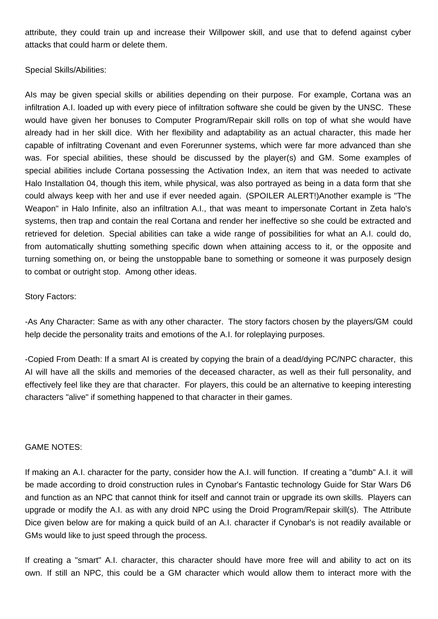attribute, they could train up and increase their Willpower skill, and use that to defend against cyber attacks that could harm or delete them.

## Special Skills/Abilities:

AIs may be given special skills or abilities depending on their purpose. For example, Cortana was an infiltration A.I. loaded up with every piece of infiltration software she could be given by the UNSC. These would have given her bonuses to Computer Program/Repair skill rolls on top of what she would have already had in her skill dice. With her flexibility and adaptability as an actual character, this made her capable of infiltrating Covenant and even Forerunner systems, which were far more advanced than she was. For special abilities, these should be discussed by the player(s) and GM. Some examples of special abilities include Cortana possessing the Activation Index, an item that was needed to activate Halo Installation 04, though this item, while physical, was also portrayed as being in a data form that she could always keep with her and use if ever needed again. (SPOILER ALERT!)Another example is "The Weapon" in Halo Infinite, also an infiltration A.I., that was meant to impersonate Cortant in Zeta halo's systems, then trap and contain the real Cortana and render her ineffective so she could be extracted and retrieved for deletion. Special abilities can take a wide range of possibilities for what an A.I. could do, from automatically shutting something specific down when attaining access to it, or the opposite and turning something on, or being the unstoppable bane to something or someone it was purposely design to combat or outright stop. Among other ideas.

## Story Factors:

-As Any Character: Same as with any other character. The story factors chosen by the players/GM could help decide the personality traits and emotions of the A.I. for roleplaying purposes.

-Copied From Death: If a smart AI is created by copying the brain of a dead/dying PC/NPC character, this AI will have all the skills and memories of the deceased character, as well as their full personality, and effectively feel like they are that character. For players, this could be an alternative to keeping interesting characters "alive" if something happened to that character in their games.

## GAME NOTES:

If making an A.I. character for the party, consider how the A.I. will function. If creating a "dumb" A.I. it will be made according to droid construction rules in Cynobar's Fantastic technology Guide for Star Wars D6 and function as an NPC that cannot think for itself and cannot train or upgrade its own skills. Players can upgrade or modify the A.I. as with any droid NPC using the Droid Program/Repair skill(s). The Attribute Dice given below are for making a quick build of an A.I. character if Cynobar's is not readily available or GMs would like to just speed through the process.

If creating a "smart" A.I. character, this character should have more free will and ability to act on its own. If still an NPC, this could be a GM character which would allow them to interact more with the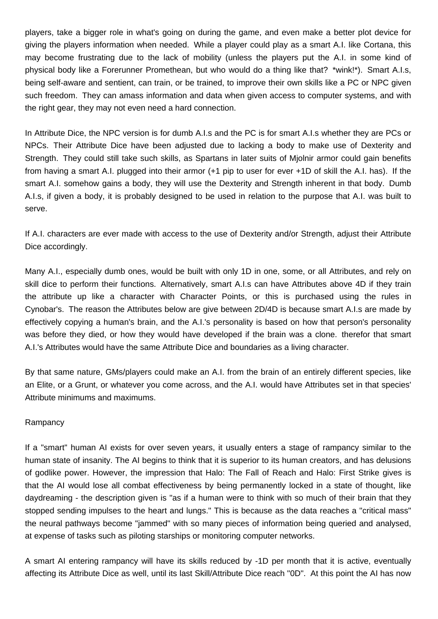players, take a bigger role in what's going on during the game, and even make a better plot device for giving the players information when needed. While a player could play as a smart A.I. like Cortana, this may become frustrating due to the lack of mobility (unless the players put the A.I. in some kind of physical body like a Forerunner Promethean, but who would do a thing like that? \*wink!\*). Smart A.I.s, being self-aware and sentient, can train, or be trained, to improve their own skills like a PC or NPC given such freedom. They can amass information and data when given access to computer systems, and with the right gear, they may not even need a hard connection.

In Attribute Dice, the NPC version is for dumb A.I.s and the PC is for smart A.I.s whether they are PCs or NPCs. Their Attribute Dice have been adjusted due to lacking a body to make use of Dexterity and Strength. They could still take such skills, as Spartans in later suits of Mjolnir armor could gain benefits from having a smart A.I. plugged into their armor (+1 pip to user for ever +1D of skill the A.I. has). If the smart A.I. somehow gains a body, they will use the Dexterity and Strength inherent in that body. Dumb A.I.s, if given a body, it is probably designed to be used in relation to the purpose that A.I. was built to serve.

If A.I. characters are ever made with access to the use of Dexterity and/or Strength, adjust their Attribute Dice accordingly.

Many A.I., especially dumb ones, would be built with only 1D in one, some, or all Attributes, and rely on skill dice to perform their functions. Alternatively, smart A.I.s can have Attributes above 4D if they train the attribute up like a character with Character Points, or this is purchased using the rules in Cynobar's. The reason the Attributes below are give between 2D/4D is because smart A.I.s are made by effectively copying a human's brain, and the A.I.'s personality is based on how that person's personality was before they died, or how they would have developed if the brain was a clone. therefor that smart A.I.'s Attributes would have the same Attribute Dice and boundaries as a living character.

By that same nature, GMs/players could make an A.I. from the brain of an entirely different species, like an Elite, or a Grunt, or whatever you come across, and the A.I. would have Attributes set in that species' Attribute minimums and maximums.

## **Rampancy**

If a "smart" human AI exists for over seven years, it usually enters a stage of rampancy similar to the human state of insanity. The AI begins to think that it is superior to its human creators, and has delusions of godlike power. However, the impression that Halo: The Fall of Reach and Halo: First Strike gives is that the AI would lose all combat effectiveness by being permanently locked in a state of thought, like daydreaming - the description given is "as if a human were to think with so much of their brain that they stopped sending impulses to the heart and lungs." This is because as the data reaches a "critical mass" the neural pathways become "jammed" with so many pieces of information being queried and analysed, at expense of tasks such as piloting starships or monitoring computer networks.

A smart AI entering rampancy will have its skills reduced by -1D per month that it is active, eventually affecting its Attribute Dice as well, until its last Skill/Attribute Dice reach "0D". At this point the AI has now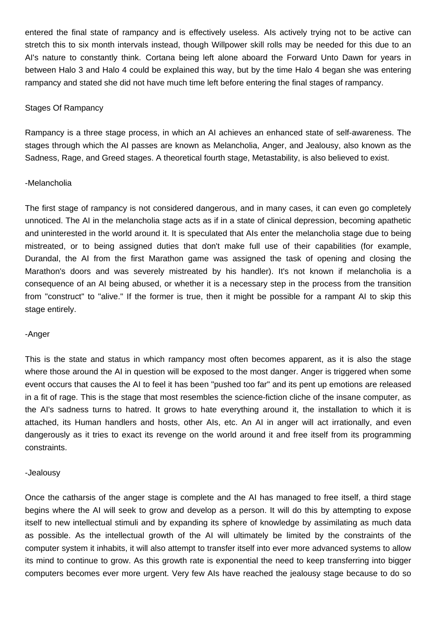entered the final state of rampancy and is effectively useless. AIs actively trying not to be active can stretch this to six month intervals instead, though Willpower skill rolls may be needed for this due to an AI's nature to constantly think. Cortana being left alone aboard the Forward Unto Dawn for years in between Halo 3 and Halo 4 could be explained this way, but by the time Halo 4 began she was entering rampancy and stated she did not have much time left before entering the final stages of rampancy.

## Stages Of Rampancy

Rampancy is a three stage process, in which an AI achieves an enhanced state of self-awareness. The stages through which the AI passes are known as Melancholia, Anger, and Jealousy, also known as the Sadness, Rage, and Greed stages. A theoretical fourth stage, Metastability, is also believed to exist.

## -Melancholia

The first stage of rampancy is not considered dangerous, and in many cases, it can even go completely unnoticed. The AI in the melancholia stage acts as if in a state of clinical depression, becoming apathetic and uninterested in the world around it. It is speculated that AIs enter the melancholia stage due to being mistreated, or to being assigned duties that don't make full use of their capabilities (for example, Durandal, the AI from the first Marathon game was assigned the task of opening and closing the Marathon's doors and was severely mistreated by his handler). It's not known if melancholia is a consequence of an AI being abused, or whether it is a necessary step in the process from the transition from "construct" to "alive." If the former is true, then it might be possible for a rampant AI to skip this stage entirely.

#### -Anger

This is the state and status in which rampancy most often becomes apparent, as it is also the stage where those around the AI in question will be exposed to the most danger. Anger is triggered when some event occurs that causes the AI to feel it has been "pushed too far" and its pent up emotions are released in a fit of rage. This is the stage that most resembles the science-fiction cliche of the insane computer, as the AI's sadness turns to hatred. It grows to hate everything around it, the installation to which it is attached, its Human handlers and hosts, other AIs, etc. An AI in anger will act irrationally, and even dangerously as it tries to exact its revenge on the world around it and free itself from its programming constraints.

#### -Jealousy

Once the catharsis of the anger stage is complete and the AI has managed to free itself, a third stage begins where the AI will seek to grow and develop as a person. It will do this by attempting to expose itself to new intellectual stimuli and by expanding its sphere of knowledge by assimilating as much data as possible. As the intellectual growth of the AI will ultimately be limited by the constraints of the computer system it inhabits, it will also attempt to transfer itself into ever more advanced systems to allow its mind to continue to grow. As this growth rate is exponential the need to keep transferring into bigger computers becomes ever more urgent. Very few AIs have reached the jealousy stage because to do so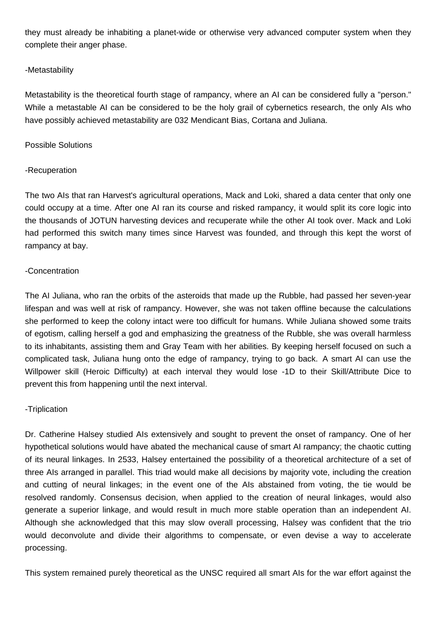they must already be inhabiting a planet-wide or otherwise very advanced computer system when they complete their anger phase.

# -Metastability

Metastability is the theoretical fourth stage of rampancy, where an AI can be considered fully a "person." While a metastable AI can be considered to be the holy grail of cybernetics research, the only AIs who have possibly achieved metastability are 032 Mendicant Bias, Cortana and Juliana.

## Possible Solutions

# -Recuperation

The two AIs that ran Harvest's agricultural operations, Mack and Loki, shared a data center that only one could occupy at a time. After one AI ran its course and risked rampancy, it would split its core logic into the thousands of JOTUN harvesting devices and recuperate while the other AI took over. Mack and Loki had performed this switch many times since Harvest was founded, and through this kept the worst of rampancy at bay.

## -Concentration

The AI Juliana, who ran the orbits of the asteroids that made up the Rubble, had passed her seven-year lifespan and was well at risk of rampancy. However, she was not taken offline because the calculations she performed to keep the colony intact were too difficult for humans. While Juliana showed some traits of egotism, calling herself a god and emphasizing the greatness of the Rubble, she was overall harmless to its inhabitants, assisting them and Gray Team with her abilities. By keeping herself focused on such a complicated task, Juliana hung onto the edge of rampancy, trying to go back. A smart AI can use the Willpower skill (Heroic Difficulty) at each interval they would lose -1D to their Skill/Attribute Dice to prevent this from happening until the next interval.

# -Triplication

Dr. Catherine Halsey studied AIs extensively and sought to prevent the onset of rampancy. One of her hypothetical solutions would have abated the mechanical cause of smart AI rampancy; the chaotic cutting of its neural linkages. In 2533, Halsey entertained the possibility of a theoretical architecture of a set of three AIs arranged in parallel. This triad would make all decisions by majority vote, including the creation and cutting of neural linkages; in the event one of the AIs abstained from voting, the tie would be resolved randomly. Consensus decision, when applied to the creation of neural linkages, would also generate a superior linkage, and would result in much more stable operation than an independent AI. Although she acknowledged that this may slow overall processing, Halsey was confident that the trio would deconvolute and divide their algorithms to compensate, or even devise a way to accelerate processing.

This system remained purely theoretical as the UNSC required all smart AIs for the war effort against the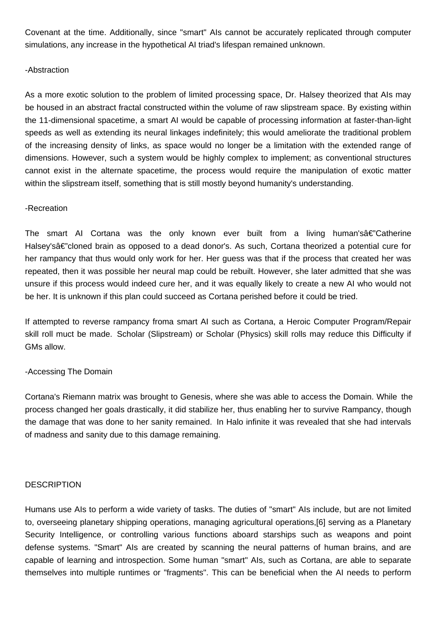Covenant at the time. Additionally, since "smart" AIs cannot be accurately replicated through computer simulations, any increase in the hypothetical AI triad's lifespan remained unknown.

## -Abstraction

As a more exotic solution to the problem of limited processing space, Dr. Halsey theorized that AIs may be housed in an abstract fractal constructed within the volume of raw slipstream space. By existing within the 11-dimensional spacetime, a smart AI would be capable of processing information at faster-than-light speeds as well as extending its neural linkages indefinitely; this would ameliorate the traditional problem of the increasing density of links, as space would no longer be a limitation with the extended range of dimensions. However, such a system would be highly complex to implement; as conventional structures cannot exist in the alternate spacetime, the process would require the manipulation of exotic matter within the slipstream itself, something that is still mostly beyond humanity's understanding.

## -Recreation

The smart AI Cortana was the only known ever built from a living human's  $\hat{\mathbf{a}} \in \mathbb{C}$  atherine Halsey'sâ€"cloned brain as opposed to a dead donor's. As such, Cortana theorized a potential cure for her rampancy that thus would only work for her. Her guess was that if the process that created her was repeated, then it was possible her neural map could be rebuilt. However, she later admitted that she was unsure if this process would indeed cure her, and it was equally likely to create a new AI who would not be her. It is unknown if this plan could succeed as Cortana perished before it could be tried.

If attempted to reverse rampancy froma smart AI such as Cortana, a Heroic Computer Program/Repair skill roll muct be made. Scholar (Slipstream) or Scholar (Physics) skill rolls may reduce this Difficulty if GMs allow.

# -Accessing The Domain

Cortana's Riemann matrix was brought to Genesis, where she was able to access the Domain. While the process changed her goals drastically, it did stabilize her, thus enabling her to survive Rampancy, though the damage that was done to her sanity remained. In Halo infinite it was revealed that she had intervals of madness and sanity due to this damage remaining.

## **DESCRIPTION**

Humans use AIs to perform a wide variety of tasks. The duties of "smart" AIs include, but are not limited to, overseeing planetary shipping operations, managing agricultural operations,[6] serving as a Planetary Security Intelligence, or controlling various functions aboard starships such as weapons and point defense systems. "Smart" AIs are created by scanning the neural patterns of human brains, and are capable of learning and introspection. Some human "smart" AIs, such as Cortana, are able to separate themselves into multiple runtimes or "fragments". This can be beneficial when the AI needs to perform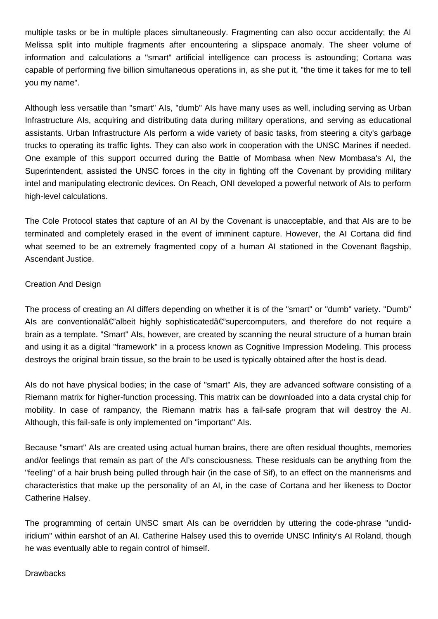multiple tasks or be in multiple places simultaneously. Fragmenting can also occur accidentally; the AI Melissa split into multiple fragments after encountering a slipspace anomaly. The sheer volume of information and calculations a "smart" artificial intelligence can process is astounding; Cortana was capable of performing five billion simultaneous operations in, as she put it, "the time it takes for me to tell you my name".

Although less versatile than "smart" AIs, "dumb" AIs have many uses as well, including serving as Urban Infrastructure AIs, acquiring and distributing data during military operations, and serving as educational assistants. Urban Infrastructure AIs perform a wide variety of basic tasks, from steering a city's garbage trucks to operating its traffic lights. They can also work in cooperation with the UNSC Marines if needed. One example of this support occurred during the Battle of Mombasa when New Mombasa's AI, the Superintendent, assisted the UNSC forces in the city in fighting off the Covenant by providing military intel and manipulating electronic devices. On Reach, ONI developed a powerful network of AIs to perform high-level calculations.

The Cole Protocol states that capture of an AI by the Covenant is unacceptable, and that AIs are to be terminated and completely erased in the event of imminent capture. However, the AI Cortana did find what seemed to be an extremely fragmented copy of a human AI stationed in the Covenant flagship. Ascendant Justice.

# Creation And Design

The process of creating an AI differs depending on whether it is of the "smart" or "dumb" variety. "Dumb" Als are conventional $A \in \mathbb{Z}$  albeit highly sophisticated  $A \in \mathbb{Z}$  supercomputers, and therefore do not require a brain as a template. "Smart" AIs, however, are created by scanning the neural structure of a human brain and using it as a digital "framework" in a process known as Cognitive Impression Modeling. This process destroys the original brain tissue, so the brain to be used is typically obtained after the host is dead.

AIs do not have physical bodies; in the case of "smart" AIs, they are advanced software consisting of a Riemann matrix for higher-function processing. This matrix can be downloaded into a data crystal chip for mobility. In case of rampancy, the Riemann matrix has a fail-safe program that will destroy the AI. Although, this fail-safe is only implemented on "important" AIs.

Because "smart" AIs are created using actual human brains, there are often residual thoughts, memories and/or feelings that remain as part of the AI's consciousness. These residuals can be anything from the "feeling" of a hair brush being pulled through hair (in the case of Sif), to an effect on the mannerisms and characteristics that make up the personality of an AI, in the case of Cortana and her likeness to Doctor Catherine Halsey.

The programming of certain UNSC smart AIs can be overridden by uttering the code-phrase "undidiridium" within earshot of an AI. Catherine Halsey used this to override UNSC Infinity's AI Roland, though he was eventually able to regain control of himself.

## **Drawbacks**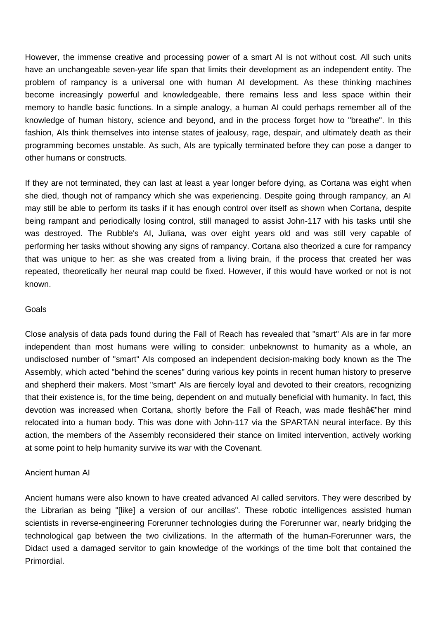However, the immense creative and processing power of a smart AI is not without cost. All such units have an unchangeable seven-year life span that limits their development as an independent entity. The problem of rampancy is a universal one with human AI development. As these thinking machines become increasingly powerful and knowledgeable, there remains less and less space within their memory to handle basic functions. In a simple analogy, a human AI could perhaps remember all of the knowledge of human history, science and beyond, and in the process forget how to "breathe". In this fashion, AIs think themselves into intense states of jealousy, rage, despair, and ultimately death as their programming becomes unstable. As such, AIs are typically terminated before they can pose a danger to other humans or constructs.

If they are not terminated, they can last at least a year longer before dying, as Cortana was eight when she died, though not of rampancy which she was experiencing. Despite going through rampancy, an AI may still be able to perform its tasks if it has enough control over itself as shown when Cortana, despite being rampant and periodically losing control, still managed to assist John-117 with his tasks until she was destroyed. The Rubble's AI, Juliana, was over eight years old and was still very capable of performing her tasks without showing any signs of rampancy. Cortana also theorized a cure for rampancy that was unique to her: as she was created from a living brain, if the process that created her was repeated, theoretically her neural map could be fixed. However, if this would have worked or not is not known.

#### Goals

Close analysis of data pads found during the Fall of Reach has revealed that "smart" AIs are in far more independent than most humans were willing to consider: unbeknownst to humanity as a whole, an undisclosed number of "smart" AIs composed an independent decision-making body known as the The Assembly, which acted "behind the scenes" during various key points in recent human history to preserve and shepherd their makers. Most "smart" AIs are fiercely loyal and devoted to their creators, recognizing that their existence is, for the time being, dependent on and mutually beneficial with humanity. In fact, this devotion was increased when Cortana, shortly before the Fall of Reach, was made fleshâ€"her mind relocated into a human body. This was done with John-117 via the SPARTAN neural interface. By this action, the members of the Assembly reconsidered their stance on limited intervention, actively working at some point to help humanity survive its war with the Covenant.

## Ancient human AI

Ancient humans were also known to have created advanced AI called servitors. They were described by the Librarian as being "[like] a version of our ancillas". These robotic intelligences assisted human scientists in reverse-engineering Forerunner technologies during the Forerunner war, nearly bridging the technological gap between the two civilizations. In the aftermath of the human-Forerunner wars, the Didact used a damaged servitor to gain knowledge of the workings of the time bolt that contained the Primordial.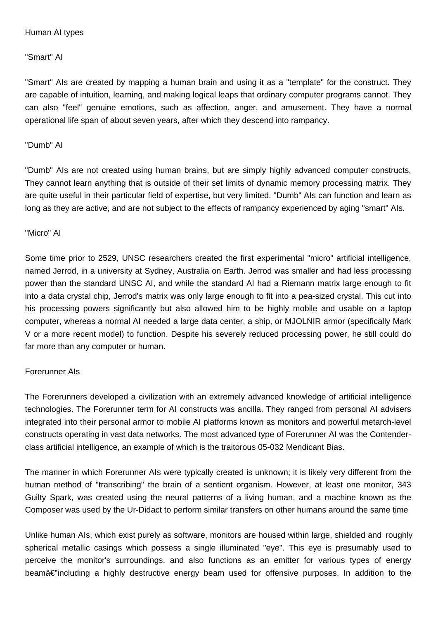## Human AI types

"Smart" AI

"Smart" AIs are created by mapping a human brain and using it as a "template" for the construct. They are capable of intuition, learning, and making logical leaps that ordinary computer programs cannot. They can also "feel" genuine emotions, such as affection, anger, and amusement. They have a normal operational life span of about seven years, after which they descend into rampancy.

## "Dumb" AI

"Dumb" AIs are not created using human brains, but are simply highly advanced computer constructs. They cannot learn anything that is outside of their set limits of dynamic memory processing matrix. They are quite useful in their particular field of expertise, but very limited. "Dumb" AIs can function and learn as long as they are active, and are not subject to the effects of rampancy experienced by aging "smart" AIs.

## "Micro" AI

Some time prior to 2529, UNSC researchers created the first experimental "micro" artificial intelligence, named Jerrod, in a university at Sydney, Australia on Earth. Jerrod was smaller and had less processing power than the standard UNSC AI, and while the standard AI had a Riemann matrix large enough to fit into a data crystal chip, Jerrod's matrix was only large enough to fit into a pea-sized crystal. This cut into his processing powers significantly but also allowed him to be highly mobile and usable on a laptop computer, whereas a normal AI needed a large data center, a ship, or MJOLNIR armor (specifically Mark V or a more recent model) to function. Despite his severely reduced processing power, he still could do far more than any computer or human.

# Forerunner AIs

The Forerunners developed a civilization with an extremely advanced knowledge of artificial intelligence technologies. The Forerunner term for AI constructs was ancilla. They ranged from personal AI advisers integrated into their personal armor to mobile AI platforms known as monitors and powerful metarch-level constructs operating in vast data networks. The most advanced type of Forerunner AI was the Contenderclass artificial intelligence, an example of which is the traitorous 05-032 Mendicant Bias.

The manner in which Forerunner AIs were typically created is unknown; it is likely very different from the human method of "transcribing" the brain of a sentient organism. However, at least one monitor, 343 Guilty Spark, was created using the neural patterns of a living human, and a machine known as the Composer was used by the Ur-Didact to perform similar transfers on other humans around the same time

Unlike human AIs, which exist purely as software, monitors are housed within large, shielded and roughly spherical metallic casings which possess a single illuminated "eye". This eye is presumably used to perceive the monitor's surroundings, and also functions as an emitter for various types of energy beamâ€"including a highly destructive energy beam used for offensive purposes. In addition to the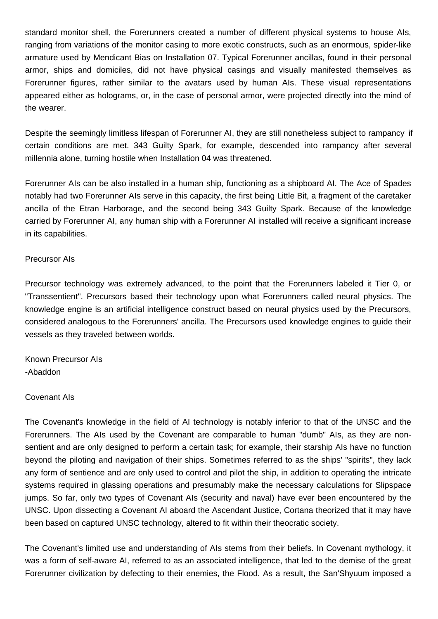standard monitor shell, the Forerunners created a number of different physical systems to house AIs, ranging from variations of the monitor casing to more exotic constructs, such as an enormous, spider-like armature used by Mendicant Bias on Installation 07. Typical Forerunner ancillas, found in their personal armor, ships and domiciles, did not have physical casings and visually manifested themselves as Forerunner figures, rather similar to the avatars used by human AIs. These visual representations appeared either as holograms, or, in the case of personal armor, were projected directly into the mind of the wearer.

Despite the seemingly limitless lifespan of Forerunner AI, they are still nonetheless subject to rampancy if certain conditions are met. 343 Guilty Spark, for example, descended into rampancy after several millennia alone, turning hostile when Installation 04 was threatened.

Forerunner AIs can be also installed in a human ship, functioning as a shipboard AI. The Ace of Spades notably had two Forerunner AIs serve in this capacity, the first being Little Bit, a fragment of the caretaker ancilla of the Etran Harborage, and the second being 343 Guilty Spark. Because of the knowledge carried by Forerunner AI, any human ship with a Forerunner AI installed will receive a significant increase in its capabilities.

## Precursor AIs

Precursor technology was extremely advanced, to the point that the Forerunners labeled it Tier 0, or "Transsentient". Precursors based their technology upon what Forerunners called neural physics. The knowledge engine is an artificial intelligence construct based on neural physics used by the Precursors, considered analogous to the Forerunners' ancilla. The Precursors used knowledge engines to guide their vessels as they traveled between worlds.

Known Precursor AIs -Abaddon

## Covenant AIs

The Covenant's knowledge in the field of AI technology is notably inferior to that of the UNSC and the Forerunners. The AIs used by the Covenant are comparable to human "dumb" AIs, as they are nonsentient and are only designed to perform a certain task; for example, their starship AIs have no function beyond the piloting and navigation of their ships. Sometimes referred to as the ships' "spirits", they lack any form of sentience and are only used to control and pilot the ship, in addition to operating the intricate systems required in glassing operations and presumably make the necessary calculations for Slipspace jumps. So far, only two types of Covenant AIs (security and naval) have ever been encountered by the UNSC. Upon dissecting a Covenant AI aboard the Ascendant Justice, Cortana theorized that it may have been based on captured UNSC technology, altered to fit within their theocratic society.

The Covenant's limited use and understanding of AIs stems from their beliefs. In Covenant mythology, it was a form of self-aware AI, referred to as an associated intelligence, that led to the demise of the great Forerunner civilization by defecting to their enemies, the Flood. As a result, the San'Shyuum imposed a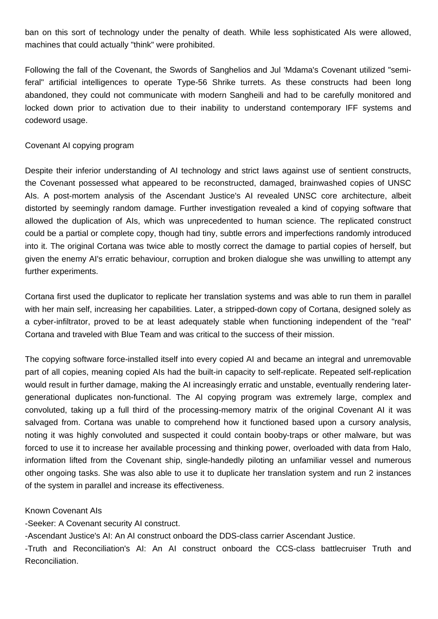ban on this sort of technology under the penalty of death. While less sophisticated AIs were allowed, machines that could actually "think" were prohibited.

Following the fall of the Covenant, the Swords of Sanghelios and Jul 'Mdama's Covenant utilized "semiferal" artificial intelligences to operate Type-56 Shrike turrets. As these constructs had been long abandoned, they could not communicate with modern Sangheili and had to be carefully monitored and locked down prior to activation due to their inability to understand contemporary IFF systems and codeword usage.

## Covenant AI copying program

Despite their inferior understanding of AI technology and strict laws against use of sentient constructs, the Covenant possessed what appeared to be reconstructed, damaged, brainwashed copies of UNSC AIs. A post-mortem analysis of the Ascendant Justice's AI revealed UNSC core architecture, albeit distorted by seemingly random damage. Further investigation revealed a kind of copying software that allowed the duplication of AIs, which was unprecedented to human science. The replicated construct could be a partial or complete copy, though had tiny, subtle errors and imperfections randomly introduced into it. The original Cortana was twice able to mostly correct the damage to partial copies of herself, but given the enemy AI's erratic behaviour, corruption and broken dialogue she was unwilling to attempt any further experiments.

Cortana first used the duplicator to replicate her translation systems and was able to run them in parallel with her main self, increasing her capabilities. Later, a stripped-down copy of Cortana, designed solely as a cyber-infiltrator, proved to be at least adequately stable when functioning independent of the "real" Cortana and traveled with Blue Team and was critical to the success of their mission.

The copying software force-installed itself into every copied AI and became an integral and unremovable part of all copies, meaning copied AIs had the built-in capacity to self-replicate. Repeated self-replication would result in further damage, making the AI increasingly erratic and unstable, eventually rendering latergenerational duplicates non-functional. The AI copying program was extremely large, complex and convoluted, taking up a full third of the processing-memory matrix of the original Covenant AI it was salvaged from. Cortana was unable to comprehend how it functioned based upon a cursory analysis, noting it was highly convoluted and suspected it could contain booby-traps or other malware, but was forced to use it to increase her available processing and thinking power, overloaded with data from Halo, information lifted from the Covenant ship, single-handedly piloting an unfamiliar vessel and numerous other ongoing tasks. She was also able to use it to duplicate her translation system and run 2 instances of the system in parallel and increase its effectiveness.

# Known Covenant AIs

-Seeker: A Covenant security AI construct.

-Ascendant Justice's AI: An AI construct onboard the DDS-class carrier Ascendant Justice.

-Truth and Reconciliation's AI: An AI construct onboard the CCS-class battlecruiser Truth and Reconciliation.